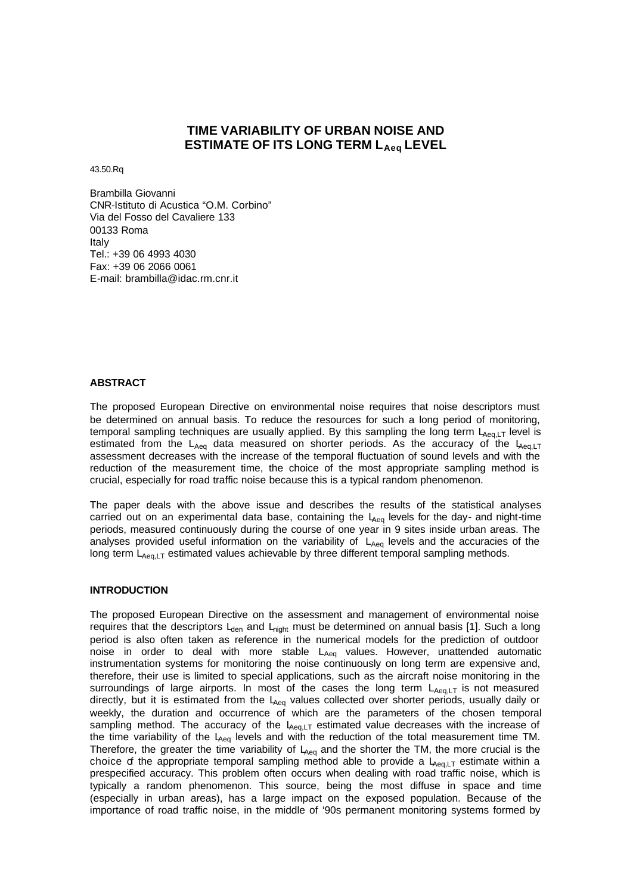# **TIME VARIABILITY OF URBAN NOISE AND ESTIMATE OF ITS LONG TERM LAeq LEVEL**

43.50.Rq

Brambilla Giovanni CNR-Istituto di Acustica "O.M. Corbino" Via del Fosso del Cavaliere 133 00133 Roma Italy Tel.: +39 06 4993 4030 Fax: +39 06 2066 0061 E-mail: brambilla@idac.rm.cnr.it

# **ABSTRACT**

The proposed European Directive on environmental noise requires that noise descriptors must be determined on annual basis. To reduce the resources for such a long period of monitoring, temporal sampling techniques are usually applied. By this sampling the long term  $L_{Aeq,LT}$  level is estimated from the  $L_{Aeq}$  data measured on shorter periods. As the accuracy of the  $L_{Aeq}$ assessment decreases with the increase of the temporal fluctuation of sound levels and with the reduction of the measurement time, the choice of the most appropriate sampling method is crucial, especially for road traffic noise because this is a typical random phenomenon.

The paper deals with the above issue and describes the results of the statistical analyses carried out on an experimental data base, containing the  $L_{Aeq}$  levels for the day- and night-time periods, measured continuously during the course of one year in 9 sites inside urban areas. The analyses provided useful information on the variability of  $L_{Aeq}$  levels and the accuracies of the long term L<sub>Aeg,LT</sub> estimated values achievable by three different temporal sampling methods.

## **INTRODUCTION**

The proposed European Directive on the assessment and management of environmental noise requires that the descriptors  $L<sub>den</sub>$  and  $L<sub>night</sub>$  must be determined on annual basis [1]. Such a long period is also often taken as reference in the numerical models for the prediction of outdoor noise in order to deal with more stable L<sub>Aeq</sub> values. However, unattended automatic instrumentation systems for monitoring the noise continuously on long term are expensive and, therefore, their use is limited to special applications, such as the aircraft noise monitoring in the surroundings of large airports. In most of the cases the long term  $L_{Aeq,LT}$  is not measured directly, but it is estimated from the  $L_{Aeq}$  values collected over shorter periods, usually daily or weekly, the duration and occurrence of which are the parameters of the chosen temporal sampling method. The accuracy of the  $L_{\text{Aeq},LT}$  estimated value decreases with the increase of the time variability of the  $L_{\text{Aeg}}$  levels and with the reduction of the total measurement time TM. Therefore, the greater the time variability of  $L_{Aea}$  and the shorter the TM, the more crucial is the choice of the appropriate temporal sampling method able to provide a  $L_{Aeq,LT}$  estimate within a prespecified accuracy. This problem often occurs when dealing with road traffic noise, which is typically a random phenomenon. This source, being the most diffuse in space and time (especially in urban areas), has a large impact on the exposed population. Because of the importance of road traffic noise, in the middle of '90s permanent monitoring systems formed by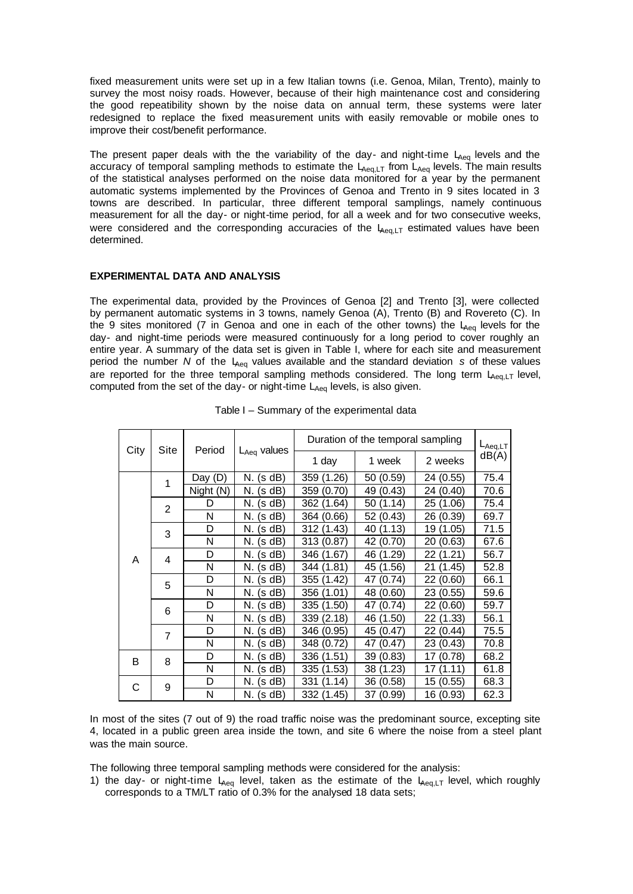fixed measurement units were set up in a few Italian towns (i.e. Genoa, Milan, Trento), mainly to survey the most noisy roads. However, because of their high maintenance cost and considering the good repeatibility shown by the noise data on annual term, these systems were later redesigned to replace the fixed measurement units with easily removable or mobile ones to improve their cost/benefit performance.

The present paper deals with the the variability of the day- and night-time  $L_{Aeq}$  levels and the accuracy of temporal sampling methods to estimate the  $L_{Aeq,LT}$  from  $L_{Aeq}$  levels. The main results of the statistical analyses performed on the noise data monitored for a year by the permanent automatic systems implemented by the Provinces of Genoa and Trento in 9 sites located in 3 towns are described. In particular, three different temporal samplings, namely continuous measurement for all the day- or night-time period, for all a week and for two consecutive weeks, were considered and the corresponding accuracies of the  $L_{\text{Aeq},LT}$  estimated values have been determined.

# **EXPERIMENTAL DATA AND ANALYSIS**

The experimental data, provided by the Provinces of Genoa [2] and Trento [3], were collected by permanent automatic systems in 3 towns, namely Genoa (A), Trento (B) and Rovereto (C). In the 9 sites monitored (7 in Genoa and one in each of the other towns) the  $L_{Aeq}$  levels for the day- and night-time periods were measured continuously for a long period to cover roughly an entire year. A summary of the data set is given in Table I, where for each site and measurement period the number  $N$  of the  $L_{\text{Aeg}}$  values available and the standard deviation *s* of these values are reported for the three temporal sampling methods considered. The long term  $L_{Aeq,LT}$  level, computed from the set of the day- or night-time  $L_{Aeq}$  levels, is also given.

| City | Site           | Period    | $L_{Aeq}$ values | Duration of the temporal sampling |              |              | $L_{Aeq,LT}$ |
|------|----------------|-----------|------------------|-----------------------------------|--------------|--------------|--------------|
|      |                |           |                  | 1 day                             | 1 week       | 2 weeks      | dB(A)        |
| A    | 1              | Day $(D)$ | (s dB)<br>N.     | 359 (1.26)                        | 50 (0.59)    | 24 (0.55)    | 75.4         |
|      |                | Night (N) | (s dB)<br>N.     | 359 (0.70)                        | 49 (0.43)    | 24 (0.40)    | 70.6         |
|      | $\overline{2}$ | D         | (s dB)<br>N.     | 362 (1.64)                        | (1.14)<br>50 | (1.06)<br>25 | 75.4         |
|      |                | N         | (s dB)<br>N.     | 364 (0.66)                        | 52 (0.43)    | 26 (0.39)    | 69.7         |
|      | 3              | D         | (s dB)<br>N.     | 312 (1.43)                        | 40 (1.13)    | 19 (1.05)    | 71.5         |
|      |                | N         | (s dB)<br>N.     | 313 (0.87)                        | 42 (0.70)    | 20 (0.63)    | 67.6         |
|      | 4              | D         | (s dB)<br>N.     | 346 (1.67)                        | (1.29)<br>46 | 22 (1.21)    | 56.7         |
|      |                | N         | (s dB)<br>N.     | 344 (1.81)                        | 45 (1.56)    | (1.45)<br>21 | 52.8         |
|      | 5              | D         | (s dB)<br>N.     | 355 (1.42)                        | 47<br>(0.74) | 22 (0.60)    | 66.1         |
|      |                | Ν         | N.<br>(s dB)     | 356 (1.01)                        | 48 (0.60)    | 23 (0.55)    | 59.6         |
|      | 6              | D         | (s dB)<br>N.     | 335 (1.50)                        | (0.74)<br>47 | 22 (0.60)    | 59.7         |
|      |                | Ν         | (s dB)<br>N.     | 339 (2.18)                        | 46 (1.50)    | 22 (1.33)    | 56.1         |
|      | 7              | D         | (s dB)<br>N.     | 346 (0.95)                        | 45<br>(0.47) | 22<br>(0.44) | 75.5         |
|      |                | Ν         | N.<br>(s dB)     | 348 (0.72)                        | (0.47)<br>47 | 23 (0.43)    | 70.8         |
| B    | 8              | D         | (s dB)<br>N.     | 336 (1.51)                        | (0.83)<br>39 | (0.78)<br>17 | 68.2         |
|      |                | N         | N.<br>(s dB)     | 335 (1.53)                        | 38 (1.23)    | (1.11)<br>17 | 61.8         |
| С    | 9              | D         | (s dB)<br>N.     | 331<br>(1.14)                     | 36 (0.58)    | 15 (0.55)    | 68.3         |
|      |                | Ν         | N. (s dB)        | 332 (1.45)                        | 37 (0.99)    | 16 (0.93)    | 62.3         |

Table I – Summary of the experimental data

In most of the sites (7 out of 9) the road traffic noise was the predominant source, excepting site 4, located in a public green area inside the town, and site 6 where the noise from a steel plant was the main source.

The following three temporal sampling methods were considered for the analysis:

1) the day- or night-time  $L_{Aeq}$  level, taken as the estimate of the  $L_{Aeq,LT}$  level, which roughly corresponds to a TM/LT ratio of 0.3% for the analysed 18 data sets;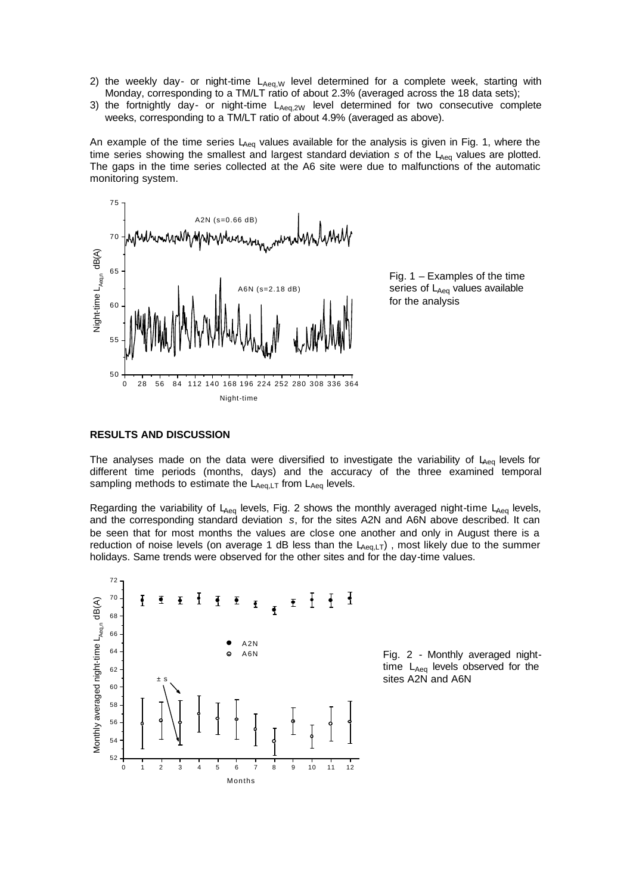- 2) the weekly day- or night-time  $L_{Aeq,W}$  level determined for a complete week, starting with Monday, corresponding to a TM/LT ratio of about 2.3% (averaged across the 18 data sets);
- 3) the fortnightly day- or night-time  $L_{Aeq,2W}$  level determined for two consecutive complete weeks, corresponding to a TM/LT ratio of about 4.9% (averaged as above).

An example of the time series  $L_{\text{Aeq}}$  values available for the analysis is given in Fig. 1, where the time series showing the smallest and largest standard deviation *s* of the L<sub>Aeq</sub> values are plotted. The gaps in the time series collected at the A6 site were due to malfunctions of the automatic monitoring system.



Fig. 1 – Examples of the time series of  $L_{Aeq}$  values available for the analysis

# **RESULTS AND DISCUSSION**

The analyses made on the data were diversified to investigate the variability of  $L_{A_{eq}}$  levels for different time periods (months, days) and the accuracy of the three examined temporal sampling methods to estimate the  $L_{Aeq,LT}$  from  $L_{Aeq}$  levels.

Regarding the variability of  $L_{Aeq}$  levels, Fig. 2 shows the monthly averaged night-time  $L_{Aeq}$  levels, and the corresponding standard deviation *s*, for the sites A2N and A6N above described. It can be seen that for most months the values are close one another and only in August there is a reduction of noise levels (on average 1 dB less than the  $L_{Aeq,LT}$ ), most likely due to the summer holidays. Same trends were observed for the other sites and for the day-time values.



Fig. 2 - Monthly averaged nighttime  $L_{Aeq}$  levels observed for the sites A2N and A6N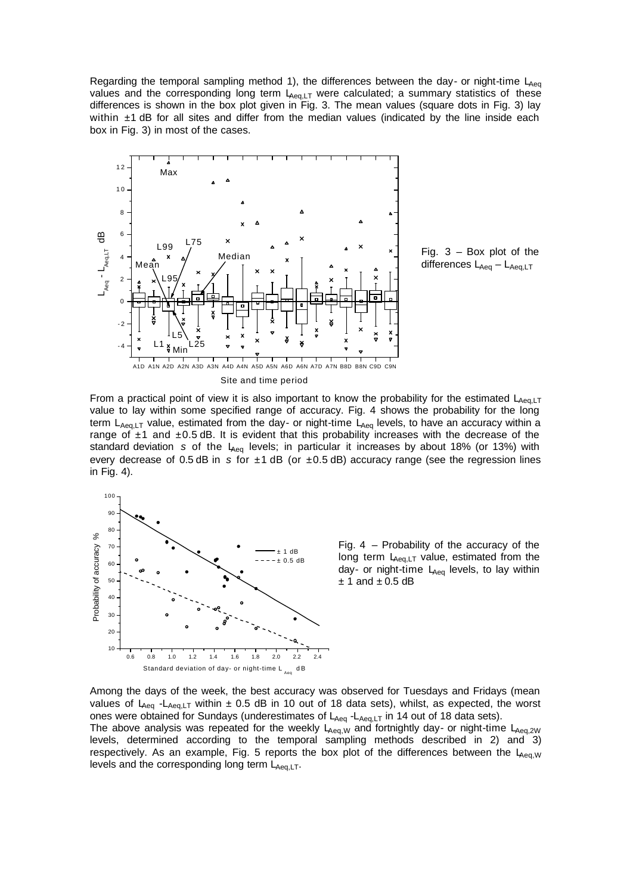Regarding the temporal sampling method 1), the differences between the day- or night-time  $L_{Aeq}$ values and the corresponding long term  $L_{Aeq,LT}$  were calculated; a summary statistics of these differences is shown in the box plot given in Fig. 3. The mean values (square dots in Fig. 3) lay within  $\pm$ 1 dB for all sites and differ from the median values (indicated by the line inside each box in Fig. 3) in most of the cases.



Fig. 3 – Box plot of the differences  $L_{Aeq} - L_{Aeq,LT}$ 

From a practical point of view it is also important to know the probability for the estimated  $L_{Aeq,LT}$ value to lay within some specified range of accuracy. Fig. 4 shows the probability for the long term  $L_{Aeq,LT}$  value, estimated from the day- or night-time  $L_{Aeq}$  levels, to have an accuracy within a range of  $\pm$ 1 and  $\pm$ 0.5 dB. It is evident that this probability increases with the decrease of the standard deviation *s* of the LA<sub>eq</sub> levels; in particular it increases by about 18% (or 13%) with every decrease of 0.5 dB in *s* for ±1 dB (or ±0.5 dB) accuracy range (see the regression lines in Fig. 4).



Fig. 4 – Probability of the accuracy of the long term  $L_{\text{Aeg},LT}$  value, estimated from the day- or night-time  $L_{Aeq}$  levels, to lay within  $± 1$  and  $± 0.5$  dB

Among the days of the week, the best accuracy was observed for Tuesdays and Fridays (mean values of L<sub>Aeq</sub> -L<sub>Aeq,LT</sub> within  $\pm$  0.5 dB in 10 out of 18 data sets), whilst, as expected, the worst ones were obtained for Sundays (underestimates of LAeq -LAeq,LT in 14 out of 18 data sets). The above analysis was repeated for the weekly  $L_{\text{Aeq},W}$  and fortnightly day- or night-time  $L_{\text{Aeq},2W}$ levels, determined according to the temporal sampling methods described in 2) and 3) respectively. As an example, Fig. 5 reports the box plot of the differences between the  $L_{Ae0,W}$ levels and the corresponding long term  $L_{Aeq,LT}$ .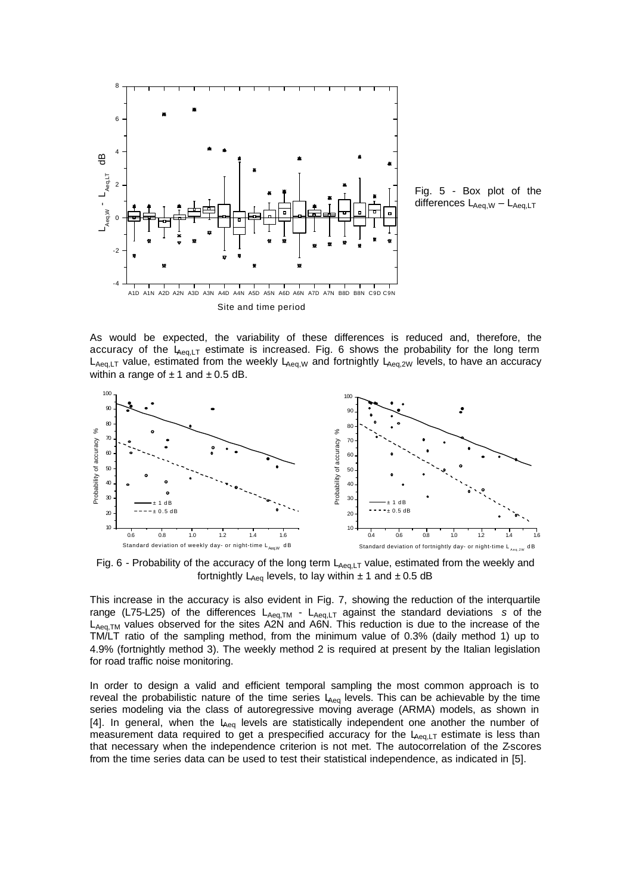

Fig. 5 - Box plot of the differences  $L_{Aeq,W} - L_{Aeq,LT}$ 

As would be expected, the variability of these differences is reduced and, therefore, the accuracy of the  $L_{Aeq,LT}$  estimate is increased. Fig. 6 shows the probability for the long term  $L_{Aeq,LT}$  value, estimated from the weekly  $L_{Aeq,W}$  and fortnightly  $L_{Aeq,2W}$  levels, to have an accuracy within a range of  $\pm$  1 and  $\pm$  0.5 dB.



Fig. 6 - Probability of the accuracy of the long term  $L_{Aeq,LT}$  value, estimated from the weekly and fortnightly  $L_{Aea}$  levels, to lay within  $\pm$  1 and  $\pm$  0.5 dB

This increase in the accuracy is also evident in Fig. 7, showing the reduction of the interquartile range (L75-L25) of the differences  $L_{Aea,TM}$  -  $L_{Aea,LT}$  against the standard deviations *s* of the  $L_{Aeq,TM}$  values observed for the sites A2N and A6N. This reduction is due to the increase of the TM/LT ratio of the sampling method, from the minimum value of 0.3% (daily method 1) up to 4.9% (fortnightly method 3). The weekly method 2 is required at present by the Italian legislation for road traffic noise monitoring.

In order to design a valid and efficient temporal sampling the most common approach is to reveal the probabilistic nature of the time series  $L_{Aeq}$  levels. This can be achievable by the time series modeling via the class of autoregressive moving average (ARMA) models, as shown in [4]. In general, when the  $L_{\text{Aeg}}$  levels are statistically independent one another the number of measurement data required to get a prespecified accuracy for the  $L_{Aeq,LT}$  estimate is less than that necessary when the independence criterion is not met. The autocorrelation of the Z-scores from the time series data can be used to test their statistical independence, as indicated in [5].